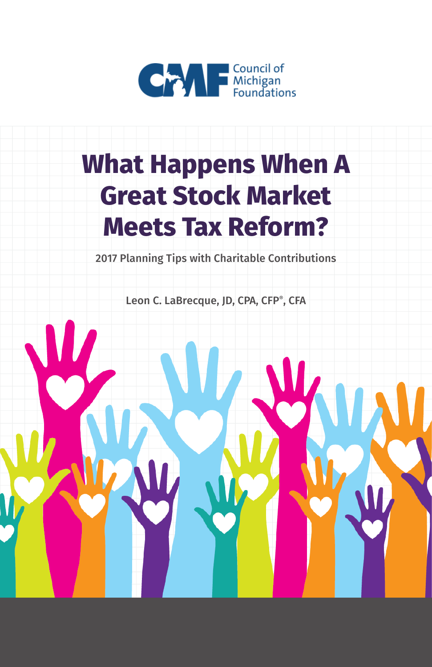

# **What Happens When A Great Stock Market Meets Tax Reform?**

2017 Planning Tips with Charitable Contributions

Leon C. LaBrecque, JD, CPA, CFP®, CFA

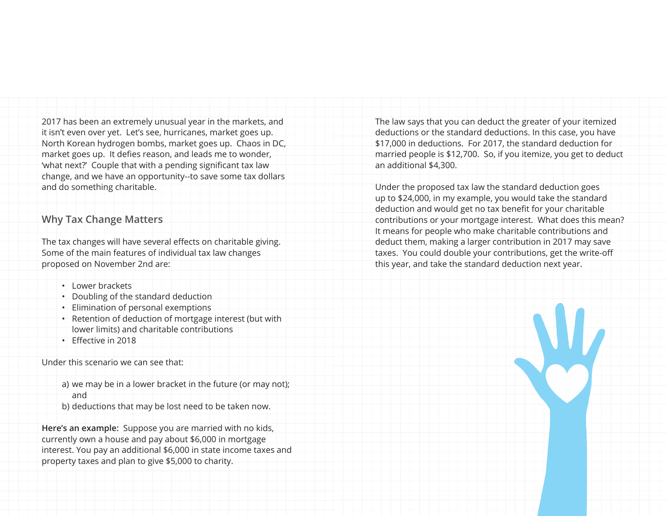2017 has been an extremely unusual year in the markets, and it isn't even over yet. Let's see, hurricanes, market goes up. North Korean hydrogen bombs, market goes up. Chaos in DC, market goes up. It defies reason, and leads me to wonder, 'what next?' Couple that with a pending significant tax law change, and we have an opportunity--to save some tax dollars and do something charitable.

### **Why Tax Change Matters**

The tax changes will have several effects on charitable giving. Some of the main features of individual tax law changes proposed on November 2nd are:

- Lower brackets
- Doubling of the standard deduction
- Elimination of personal exemptions
- Retention of deduction of mortgage interest (but with lower limits) and charitable contributions
- Effective in 2018

Under this scenario we can see that:

- a) we may be in a lower bracket in the future (or may not); and
- b) deductions that may be lost need to be taken now.

**Here's an example:** Suppose you are married with no kids, currently own a house and pay about \$6,000 in mortgage interest. You pay an additional \$6,000 in state income taxes and property taxes and plan to give \$5,000 to charity.

The law says that you can deduct the greater of your itemized deductions or the standard deductions. In this case, you have \$17,000 in deductions. For 2017, the standard deduction for married people is \$12,700. So, if you itemize, you get to deduct an additional \$4,300.

Under the proposed tax law the standard deduction goes up to \$24,000, in my example, you would take the standard deduction and would get no tax benefit for your charitable contributions or your mortgage interest. What does this mean? It means for people who make charitable contributions and deduct them, making a larger contribution in 2017 may save taxes. You could double your contributions, get the write-off this year, and take the standard deduction next year.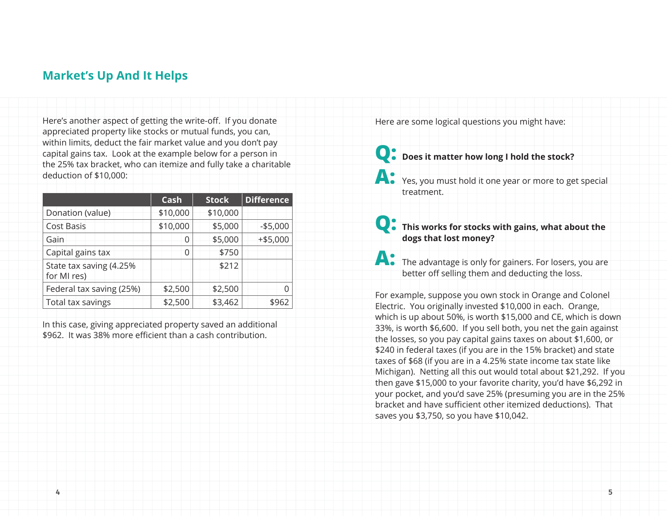## **Market's Up And It Helps**

Here's another aspect of getting the write-off. If you donate appreciated property like stocks or mutual funds, you can, within limits, deduct the fair market value and you don't pay capital gains tax. Look at the example below for a person in the 25% tax bracket, who can itemize and fully take a charitable deduction of \$10,000:

|                                         | Cash     | <b>Stock</b> | <b>Difference</b> |
|-----------------------------------------|----------|--------------|-------------------|
| Donation (value)                        | \$10,000 | \$10,000     |                   |
| <b>Cost Basis</b>                       | \$10,000 | \$5,000      | $-$5,000$         |
| Gain                                    | 0        | \$5,000      | $+ $5,000$        |
| Capital gains tax                       | 0        | \$750        |                   |
| State tax saving (4.25%)<br>for MI res) |          | \$212        |                   |
| Federal tax saving (25%)                | \$2,500  | \$2,500      |                   |
| Total tax savings                       | \$2,500  | \$3,462      | \$962             |

In this case, giving appreciated property saved an additional \$962. It was 38% more efficient than a cash contribution.

Here are some logical questions you might have:

**Q: Does it matter how long I hold the stock?** 

**A:** Yes, you must hold it one year or more to get special treatment.

**Q: This works for stocks with gains, what about the dogs that lost money?**

**A:** The advantage is only for gainers. For losers, you are better off selling them and deducting the loss.

For example, suppose you own stock in Orange and Colonel Electric. You originally invested \$10,000 in each. Orange, which is up about 50%, is worth \$15,000 and CE, which is down 33%, is worth \$6,600. If you sell both, you net the gain against the losses, so you pay capital gains taxes on about \$1,600, or \$240 in federal taxes (if you are in the 15% bracket) and state taxes of \$68 (if you are in a 4.25% state income tax state like Michigan). Netting all this out would total about \$21,292. If you then gave \$15,000 to your favorite charity, you'd have \$6,292 in your pocket, and you'd save 25% (presuming you are in the 25% bracket and have sufficient other itemized deductions). That saves you \$3,750, so you have \$10,042.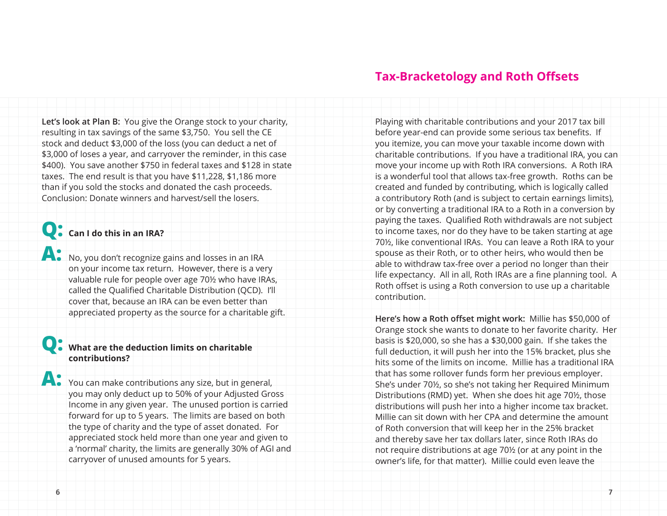**Let's look at Plan B:** You give the Orange stock to your charity, resulting in tax savings of the same \$3,750. You sell the CE stock and deduct \$3,000 of the loss (you can deduct a net of \$3,000 of loses a year, and carryover the reminder, in this case \$400). You save another \$750 in federal taxes and \$128 in state taxes. The end result is that you have \$11,228, \$1,186 more than if you sold the stocks and donated the cash proceeds. Conclusion: Donate winners and harvest/sell the losers.

# **Q: Can I do this in an IRA?**

**A:** No, you don't recognize gains and losses in an IRA on your income tax return. However, there is a very valuable rule for people over age 70½ who have IRAs, called the Qualified Charitable Distribution (QCD). I'll cover that, because an IRA can be even better than appreciated property as the source for a charitable gift.

### **Q: What are the deduction limits on charitable contributions?**

**A:** You can make contributions any size, but in general, you may only deduct up to 50% of your Adjusted Gross Income in any given year. The unused portion is carried forward for up to 5 years. The limits are based on both the type of charity and the type of asset donated. For appreciated stock held more than one year and given to a 'normal' charity, the limits are generally 30% of AGI and carryover of unused amounts for 5 years.

### **Tax-Bracketology and Roth Offsets**

Playing with charitable contributions and your 2017 tax bill before year-end can provide some serious tax benefits. If you itemize, you can move your taxable income down with charitable contributions. If you have a traditional IRA, you can move your income up with Roth IRA conversions. A Roth IRA is a wonderful tool that allows tax-free growth. Roths can be created and funded by contributing, which is logically called a contributory Roth (and is subject to certain earnings limits), or by converting a traditional IRA to a Roth in a conversion by paying the taxes. Qualified Roth withdrawals are not subject to income taxes, nor do they have to be taken starting at age 70½, like conventional IRAs. You can leave a Roth IRA to your spouse as their Roth, or to other heirs, who would then be able to withdraw tax-free over a period no longer than their life expectancy. All in all, Roth IRAs are a fine planning tool. A Roth offset is using a Roth conversion to use up a charitable contribution.

**Here's how a Roth offset might work:** Millie has \$50,000 of Orange stock she wants to donate to her favorite charity. Her basis is \$20,000, so she has a \$30,000 gain. If she takes the full deduction, it will push her into the 15% bracket, plus she hits some of the limits on income. Millie has a traditional IRA that has some rollover funds form her previous employer. She's under 70½, so she's not taking her Required Minimum Distributions (RMD) yet. When she does hit age 70½, those distributions will push her into a higher income tax bracket. Millie can sit down with her CPA and determine the amount of Roth conversion that will keep her in the 25% bracket and thereby save her tax dollars later, since Roth IRAs do not require distributions at age 70½ (or at any point in the owner's life, for that matter). Millie could even leave the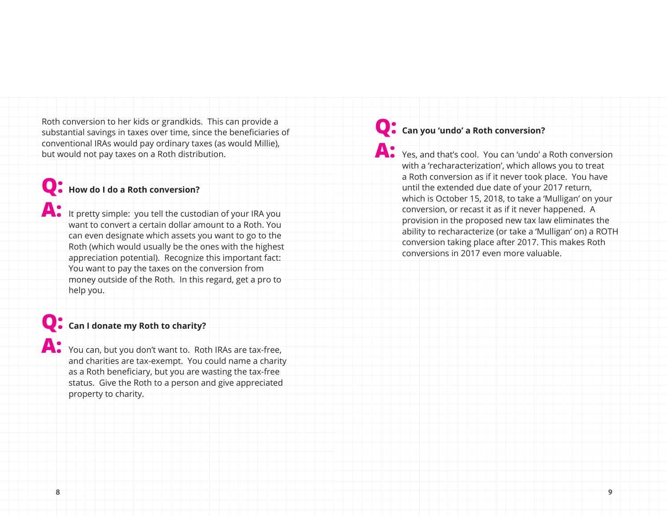Roth conversion to her kids or grandkids. This can provide a substantial savings in taxes over time, since the beneficiaries of conventional IRAs would pay ordinary taxes (as would Millie), but would not pay taxes on a Roth distribution.

## **Q: How do I do a Roth conversion?**

**A:** It pretty simple: you tell the custodian of your IRA you want to convert a certain dollar amount to a Roth. You can even designate which assets you want to go to the Roth (which would usually be the ones with the highest appreciation potential). Recognize this important fact: You want to pay the taxes on the conversion from money outside of the Roth. In this regard, get a pro to help you.

## **Q: Can I donate my Roth to charity?**

**A:** You can, but you don't want to. Roth IRAs are tax-free, and charities are tax-exempt. You could name a charity as a Roth beneficiary, but you are wasting the tax-free status. Give the Roth to a person and give appreciated property to charity.

# **Q: Can you 'undo' a Roth conversion?**

**A:** Yes, and that's cool. You can 'undo' a Roth conversion with a 'recharacterization', which allows you to treat a Roth conversion as if it never took place. You have until the extended due date of your 2017 return, which is October 15, 2018, to take a 'Mulligan' on your conversion, or recast it as if it never happened. A provision in the proposed new tax law eliminates the ability to recharacterize (or take a 'Mulligan' on) a ROTH conversion taking place after 2017. This makes Roth conversions in 2017 even more valuable.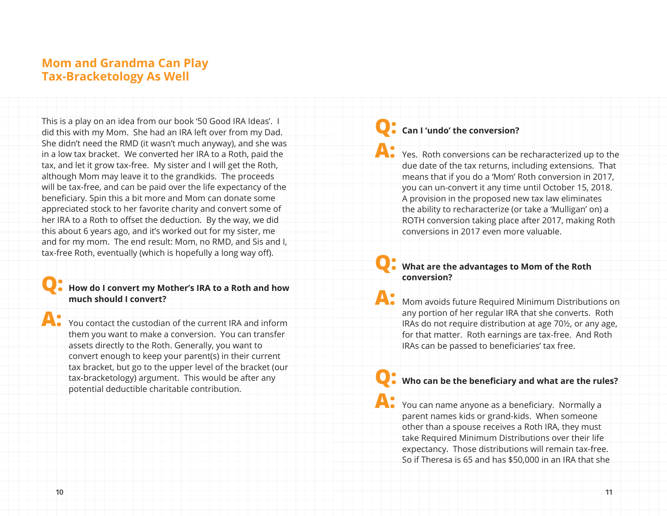## **Mom and Grandma Can Play Tax-Bracketology As Well**

This is a play on an idea from our book '50 Good IRA Ideas'. I did this with my Mom. She had an IRA left over from my Dad. She didn't need the RMD (it wasn't much anyway), and she was in a low tax bracket. We converted her IRA to a Roth, paid the tax, and let it grow tax-free. My sister and I will get the Roth, although Mom may leave it to the grandkids. The proceeds will be tax-free, and can be paid over the life expectancy of the beneficiary. Spin this a bit more and Mom can donate some appreciated stock to her favorite charity and convert some of her IRA to a Roth to offset the deduction. By the way, we did this about 6 years ago, and it's worked out for my sister, me and for my mom. The end result: Mom, no RMD, and Sis and I, tax-free Roth, eventually (which is hopefully a long way off).

### **Q: How do I convert my Mother's IRA to a Roth and how much should I convert?**

**A:** You contact the custodian of the current IRA and inform them you want to make a conversion. You can transfer assets directly to the Roth. Generally, you want to convert enough to keep your parent(s) in their current tax bracket, but go to the upper level of the bracket (our tax-bracketology) argument. This would be after any potential deductible charitable contribution.

### **Q: Can I 'undo' the conversion?**

**A:** Yes. Roth conversions can be recharacterized up to the due date of the tax returns, including extensions. That means that if you do a 'Mom' Roth conversion in 2017, you can un-convert it any time until October 15, 2018. A provision in the proposed new tax law eliminates the ability to recharacterize (or take a 'Mulligan' on) a ROTH conversion taking place after 2017, making Roth conversions in 2017 even more valuable.

### **Q: What are the advantages to Mom of the Roth conversion?**

**A:** Mom avoids future Required Minimum Distributions on any portion of her regular IRA that she converts. Roth IRAs do not require distribution at age 70½, or any age, for that matter. Roth earnings are tax-free. And Roth IRAs can be passed to beneficiaries' tax free.

### **Q: Who can be the beneficiary and what are the rules?**

**A:** You can name anyone as a beneficiary. Normally a parent names kids or grand-kids. When someone other than a spouse receives a Roth IRA, they must take Required Minimum Distributions over their life expectancy. Those distributions will remain tax-free. So if Theresa is 65 and has \$50,000 in an IRA that she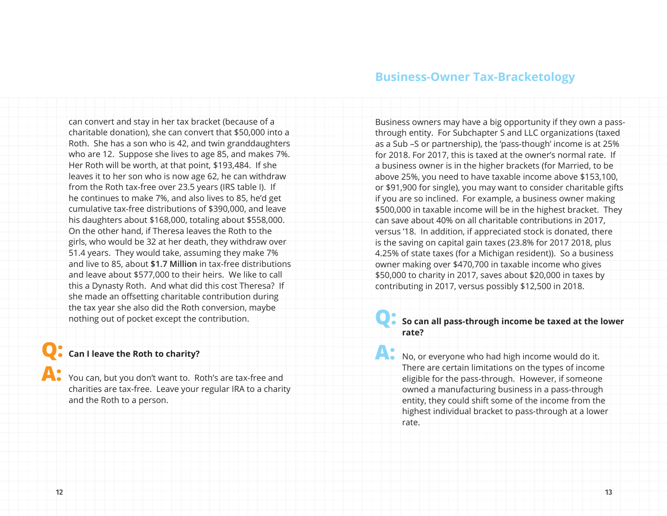can convert and stay in her tax bracket (because of a charitable donation), she can convert that \$50,000 into a Roth. She has a son who is 42, and twin granddaughters who are 12. Suppose she lives to age 85, and makes 7%. Her Roth will be worth, at that point, \$193,484. If she leaves it to her son who is now age 62, he can withdraw from the Roth tax-free over 23.5 years (IRS table I). If he continues to make 7%, and also lives to 85, he'd get cumulative tax-free distributions of \$390,000, and leave his daughters about \$168,000, totaling about \$558,000. On the other hand, if Theresa leaves the Roth to the girls, who would be 32 at her death, they withdraw over 51.4 years. They would take, assuming they make 7% and live to 85, about **\$1.7 Million** in tax-free distributions and leave about \$577,000 to their heirs. We like to call this a Dynasty Roth. And what did this cost Theresa? If she made an offsetting charitable contribution during the tax year she also did the Roth conversion, maybe nothing out of pocket except the contribution.

# **Q: Can I leave the Roth to charity?**

**A:** You can, but you don't want to. Roth's are tax-free and charities are tax-free. Leave your regular IRA to a charity and the Roth to a person.

### **Business-Owner Tax-Bracketology**

Business owners may have a big opportunity if they own a passthrough entity. For Subchapter S and LLC organizations (taxed as a Sub –S or partnership), the 'pass-though' income is at 25% for 2018. For 2017, this is taxed at the owner's normal rate. If a business owner is in the higher brackets (for Married, to be above 25%, you need to have taxable income above \$153,100, or \$91,900 for single), you may want to consider charitable gifts if you are so inclined. For example, a business owner making \$500,000 in taxable income will be in the highest bracket. They can save about 40% on all charitable contributions in 2017, versus '18. In addition, if appreciated stock is donated, there is the saving on capital gain taxes (23.8% for 2017 2018, plus 4.25% of state taxes (for a Michigan resident)). So a business owner making over \$470,700 in taxable income who gives \$50,000 to charity in 2017, saves about \$20,000 in taxes by contributing in 2017, versus possibly \$12,500 in 2018.

#### **Q: So can all pass-through income be taxed at the lower rate?**

A: No, or everyone who had high income would do it. There are certain limitations on the types of income eligible for the pass-through. However, if someone owned a manufacturing business in a pass-through entity, they could shift some of the income from the highest individual bracket to pass-through at a lower rate.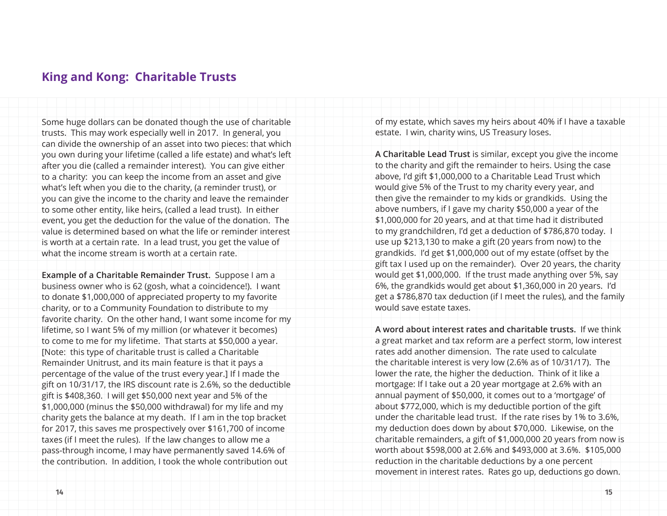### **King and Kong: Charitable Trusts**

Some huge dollars can be donated though the use of charitable trusts. This may work especially well in 2017. In general, you can divide the ownership of an asset into two pieces: that which you own during your lifetime (called a life estate) and what's left after you die (called a remainder interest). You can give either to a charity: you can keep the income from an asset and give what's left when you die to the charity, (a reminder trust), or you can give the income to the charity and leave the remainder to some other entity, like heirs, (called a lead trust). In either event, you get the deduction for the value of the donation. The value is determined based on what the life or reminder interest is worth at a certain rate. In a lead trust, you get the value of what the income stream is worth at a certain rate.

**Example of a Charitable Remainder Trust.** Suppose I am a business owner who is 62 (gosh, what a coincidence!). I want to donate \$1,000,000 of appreciated property to my favorite charity, or to a Community Foundation to distribute to my favorite charity. On the other hand, I want some income for my lifetime, so I want 5% of my million (or whatever it becomes) to come to me for my lifetime. That starts at \$50,000 a year. [Note: this type of charitable trust is called a Charitable Remainder Unitrust, and its main feature is that it pays a percentage of the value of the trust every year.] If I made the gift on 10/31/17, the IRS discount rate is 2.6%, so the deductible gift is \$408,360. I will get \$50,000 next year and 5% of the \$1,000,000 (minus the \$50,000 withdrawal) for my life and my charity gets the balance at my death. If I am in the top bracket for 2017, this saves me prospectively over \$161,700 of income taxes (if I meet the rules). If the law changes to allow me a pass-through income, I may have permanently saved 14.6% of the contribution. In addition, I took the whole contribution out

of my estate, which saves my heirs about 40% if I have a taxable estate. I win, charity wins, US Treasury loses.

**A Charitable Lead Trust** is similar, except you give the income to the charity and gift the remainder to heirs. Using the case above, I'd gift \$1,000,000 to a Charitable Lead Trust which would give 5% of the Trust to my charity every year, and then give the remainder to my kids or grandkids. Using the above numbers, if I gave my charity \$50,000 a year of the \$1,000,000 for 20 years, and at that time had it distributed to my grandchildren, I'd get a deduction of \$786,870 today. I use up \$213,130 to make a gift (20 years from now) to the grandkids. I'd get \$1,000,000 out of my estate (offset by the gift tax I used up on the remainder). Over 20 years, the charity would get \$1,000,000. If the trust made anything over 5%, say 6%, the grandkids would get about \$1,360,000 in 20 years. I'd get a \$786,870 tax deduction (if I meet the rules), and the family would save estate taxes.

**A word about interest rates and charitable trusts.** If we think a great market and tax reform are a perfect storm, low interest rates add another dimension. The rate used to calculate the charitable interest is very low (2.6% as of 10/31/17). The lower the rate, the higher the deduction. Think of it like a mortgage: If I take out a 20 year mortgage at 2.6% with an annual payment of \$50,000, it comes out to a 'mortgage' of about \$772,000, which is my deductible portion of the gift under the charitable lead trust. If the rate rises by 1% to 3.6%, my deduction does down by about \$70,000. Likewise, on the charitable remainders, a gift of \$1,000,000 20 years from now is worth about \$598,000 at 2.6% and \$493,000 at 3.6%. \$105,000 reduction in the charitable deductions by a one percent movement in interest rates. Rates go up, deductions go down.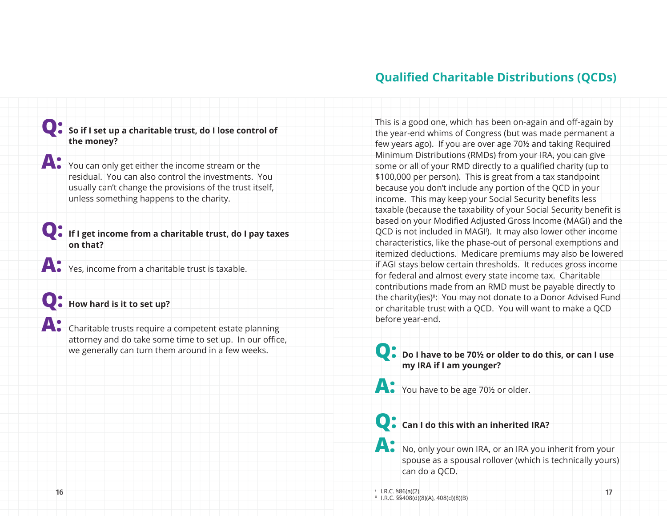## **Qualified Charitable Distributions (QCDs)**

### **Q: So if I set up a charitable trust, do I lose control of the money?**

**A:** You can only get either the income stream or the residual. You can also control the investments. You usually can't change the provisions of the trust itself, unless something happens to the charity.

**Q: If I get income from a charitable trust, do I pay taxes on that?**

**A:** Yes, income from a charitable trust is taxable.

## **Q: How hard is it to set up?**

**A:** Charitable trusts require a competent estate planning attorney and do take some time to set up. In our office, we generally can turn them around in a few weeks.

This is a good one, which has been on-again and off-again by the year-end whims of Congress (but was made permanent a few years ago). If you are over age 70½ and taking Required Minimum Distributions (RMDs) from your IRA, you can give some or all of your RMD directly to a qualified charity (up to \$100,000 per person). This is great from a tax standpoint because you don't include any portion of the QCD in your income. This may keep your Social Security benefits less taxable (because the taxability of your Social Security benefit is based on your Modified Adjusted Gross Income (MAGI) and the QCD is not included in MAGI'). It may also lower other income characteristics, like the phase-out of personal exemptions and itemized deductions. Medicare premiums may also be lowered if AGI stays below certain thresholds. It reduces gross income for federal and almost every state income tax. Charitable contributions made from an RMD must be payable directly to the charity(ies)<sup>ii</sup>: You may not donate to a Donor Advised Fund or charitable trust with a QCD. You will want to make a QCD before year-end.

**Q: Do I have to be 70½ or older to do this, or can I use my IRA if I am younger?** 

**A:** You have to be age 70<sup>1</sup>/<sub>2</sub> or older.

**Q: Can I do this with an inherited IRA?**

**A:** No, only your own IRA, or an IRA you inherit from your spouse as a spousal rollover (which is technically yours) can do a QCD.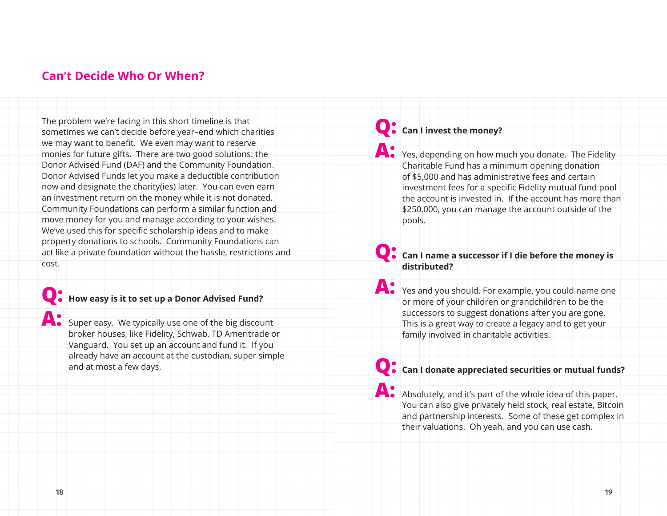## **Can't Decide Who Or When?**

The problem we're facing in this short timeline is that sometimes we can't decide before year–end which charities we may want to benefit. We even may want to reserve monies for future gifts. There are two good solutions: the Donor Advised Fund (DAF) and the Community Foundation. Donor Advised Funds let you make a deductible contribution now and designate the charity(ies) later. You can even earn an investment return on the money while it is not donated. Community Foundations can perform a similar function and move money for you and manage according to your wishes. We've used this for specific scholarship ideas and to make property donations to schools. Community Foundations can act like a private foundation without the hassle, restrictions and cost.

# **Q: How easy is it to set up a Donor Advised Fund?**

**A:** Super easy. We typically use one of the big discount broker houses, like Fidelity, Schwab, TD Ameritrade or Vanguard. You set up an account and fund it. If you already have an account at the custodian, super simple and at most a few days.

# **Q: Can I invest the money?**

**A:** Yes, depending on how much you donate. The Fidelity Charitable Fund has a minimum opening donation of \$5,000 and has administrative fees and certain investment fees for a specific Fidelity mutual fund pool the account is invested in. If the account has more than \$250,000, you can manage the account outside of the pools.

### **Q: Can I name a successor if I die before the money is distributed?**

**A:** Yes and you should. For example, you could name one or more of your children or grandchildren to be the successors to suggest donations after you are gone. This is a great way to create a legacy and to get your family involved in charitable activities.

# **Q: Can I donate appreciated securities or mutual funds?**

A: Absolutely, and it's part of the whole idea of this paper. You can also give privately held stock, real estate, Bitcoin and partnership interests. Some of these get complex in their valuations. Oh yeah, and you can use cash.